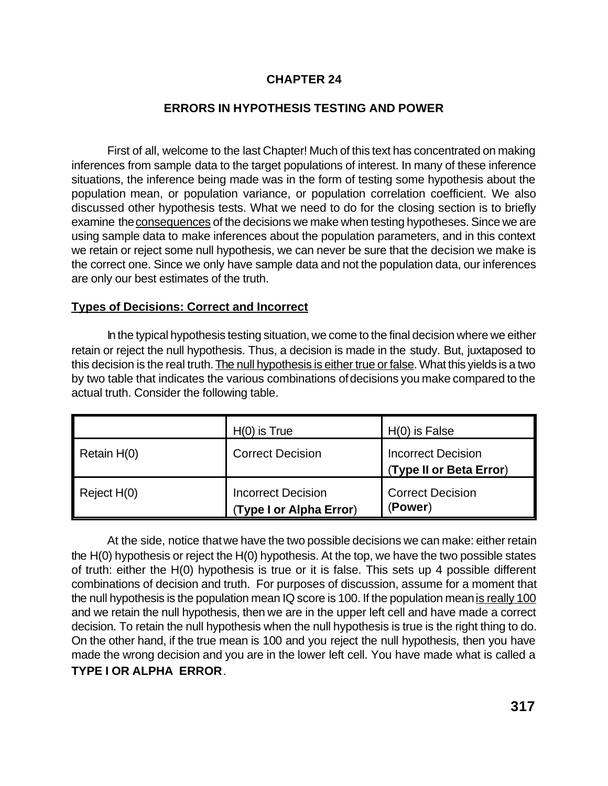## **CHAPTER 24**

## **ERRORS IN HYPOTHESIS TESTING AND POWER**

First of all, welcome to the last Chapter! Much of this text has concentrated on making inferences from sample data to the target populations of interest. In many of these inference situations, the inference being made was in the form of testing some hypothesis about the population mean, or population variance, or population correlation coefficient. We also discussed other hypothesis tests. What we need to do for the closing section is to briefly examine the consequences of the decisions we make when testing hypotheses. Since we are using sample data to make inferences about the population parameters, and in this context we retain or reject some null hypothesis, we can never be sure that the decision we make is the correct one. Since we only have sample data and not the population data, our inferences are only our best estimates of the truth.

## **Types of Decisions: Correct and Incorrect**

In the typical hypothesis testing situation, we come to the final decision where we either retain or reject the null hypothesis. Thus, a decision is made in the study. But, juxtaposed to this decision is the real truth. The null hypothesis is either true or false. What this yields is a two by two table that indicates the various combinations of decisions you make compared to the actual truth. Consider the following table.

|             | $H(0)$ is True                                       | $H(0)$ is False                                      |
|-------------|------------------------------------------------------|------------------------------------------------------|
| Retain H(0) | <b>Correct Decision</b>                              | <b>Incorrect Decision</b><br>(Type II or Beta Error) |
| Reject H(0) | <b>Incorrect Decision</b><br>(Type I or Alpha Error) | <b>Correct Decision</b><br>(Power)                   |

At the side, notice that we have the two possible decisions we can make: either retain the H(0) hypothesis or reject the H(0) hypothesis. At the top, we have the two possible states of truth: either the H(0) hypothesis is true or it is false. This sets up 4 possible different combinations of decision and truth. For purposes of discussion, assume for a moment that the null hypothesis is the population mean IQ score is 100. If the population mean is really 100 and we retain the null hypothesis, then we are in the upper left cell and have made a correct decision. To retain the null hypothesis when the null hypothesis is true is the right thing to do. On the other hand, if the true mean is 100 and you reject the null hypothesis, then you have made the wrong decision and you are in the lower left cell. You have made what is called a **TYPE I OR ALPHA ERROR**.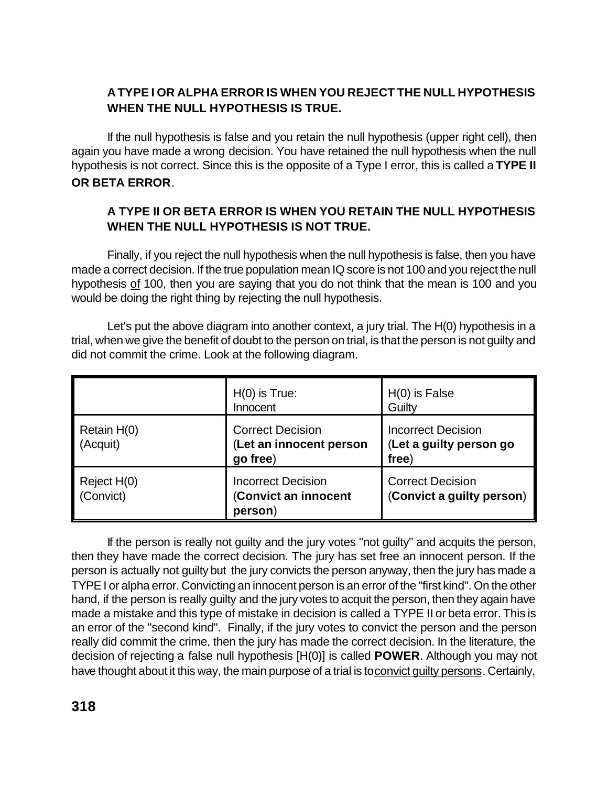# **A TYPE I OR ALPHA ERROR IS WHEN YOU REJECT THE NULL HYPOTHESIS WHEN THE NULL HYPOTHESIS IS TRUE.**

If the null hypothesis is false and you retain the null hypothesis (upper right cell), then again you have made a wrong decision. You have retained the null hypothesis when the null hypothesis is not correct. Since this is the opposite of a Type I error, this is called a **TYPE II OR BETA ERROR**.

## **A TYPE II OR BETA ERROR IS WHEN YOU RETAIN THE NULL HYPOTHESIS WHEN THE NULL HYPOTHESIS IS NOT TRUE.**

Finally, if you reject the null hypothesis when the null hypothesis is false, then you have made a correct decision. If the true population mean IQ score is not 100 and you reject the null hypothesis of 100, then you are saying that you do not think that the mean is 100 and you would be doing the right thing by rejecting the null hypothesis.

Let's put the above diagram into another context, a jury trial. The H(0) hypothesis in a trial, when we give the benefit of doubt to the person on trial, is that the person is not guilty and did not commit the crime. Look at the following diagram.

|                          | $H(0)$ is True:<br>Innocent                                    | $H(0)$ is False<br>Guilty                                     |
|--------------------------|----------------------------------------------------------------|---------------------------------------------------------------|
| Retain H(0)<br>(Acquit)  | <b>Correct Decision</b><br>(Let an innocent person<br>go free) | <b>Incorrect Decision</b><br>(Let a guilty person go<br>free) |
| Reject H(0)<br>(Convict) | <b>Incorrect Decision</b><br>(Convict an innocent<br>person)   | <b>Correct Decision</b><br>(Convict a guilty person)          |

If the person is really not guilty and the jury votes "not guilty" and acquits the person, then they have made the correct decision. The jury has set free an innocent person. If the person is actually not guilty but the jury convicts the person anyway, then the jury has made a TYPE I or alpha error. Convicting an innocent person is an error of the "first kind". On the other hand, if the person is really guilty and the jury votes to acquit the person, then they again have made a mistake and this type of mistake in decision is called a TYPE II or beta error. This is an error of the "second kind". Finally, if the jury votes to convict the person and the person really did commit the crime, then the jury has made the correct decision. In the literature, the decision of rejecting a false null hypothesis [H(0)] is called **POWER**. Although you may not have thought about it this way, the main purpose of a trial is to convict quilty persons. Certainly,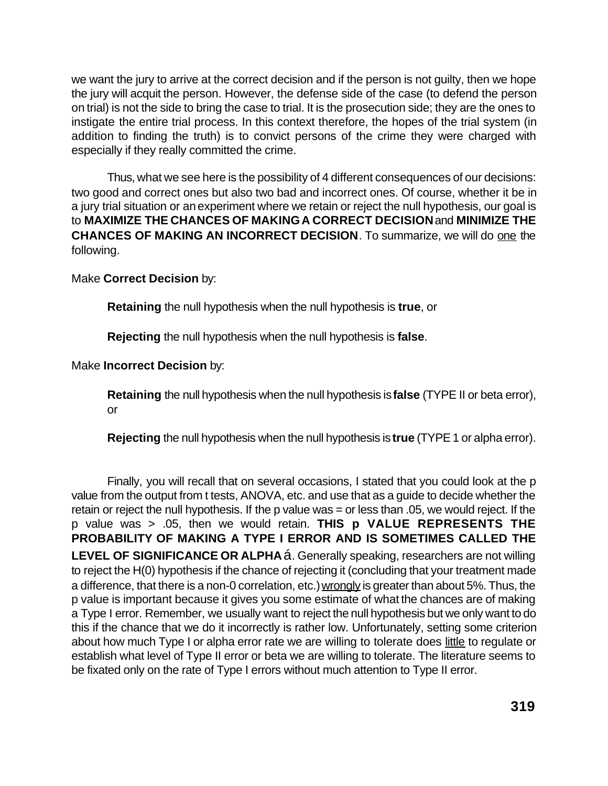we want the jury to arrive at the correct decision and if the person is not guilty, then we hope the jury will acquit the person. However, the defense side of the case (to defend the person on trial) is not the side to bring the case to trial. It is the prosecution side; they are the ones to instigate the entire trial process. In this context therefore, the hopes of the trial system (in addition to finding the truth) is to convict persons of the crime they were charged with especially if they really committed the crime.

Thus, what we see here is the possibility of 4 different consequences of our decisions: two good and correct ones but also two bad and incorrect ones. Of course, whether it be in a jury trial situation or an experiment where we retain or reject the null hypothesis, our goal is to **MAXIMIZE THE CHANCES OF MAKINGA CORRECT DECISION** and **MINIMIZE THE CHANCES OF MAKING AN INCORRECT DECISION**. To summarize, we will do one the following.

Make **Correct Decision** by:

**Retaining** the null hypothesis when the null hypothesis is **true**, or

**Rejecting** the null hypothesis when the null hypothesis is **false**.

Make **Incorrect Decision** by:

**Retaining** the null hypothesis when the null hypothesis is **false** (TYPE II or beta error), or

**Rejecting** the null hypothesis when the null hypothesis is **true** (TYPE 1 or alpha error).

Finally, you will recall that on several occasions, I stated that you could look at the p value from the output from t tests, ANOVA, etc. and use that as a guide to decide whether the retain or reject the null hypothesis. If the p value was = or less than .05, we would reject. If the p value was > .05, then we would retain. **THIS p VALUE REPRESENTS THE PROBABILITY OF MAKING A TYPE I ERROR AND IS SOMETIMES CALLED THE LEVEL OF SIGNIFICANCE OR ALPHA** á. Generally speaking, researchers are not willing to reject the H(0) hypothesis if the chance of rejecting it (concluding that your treatment made a difference, that there is a non-0 correlation, etc.) wrongly is greater than about 5%. Thus, the p value is important because it gives you some estimate of what the chances are of making a Type I error. Remember, we usually want to reject the null hypothesis but we only want to do this if the chance that we do it incorrectly is rather low. Unfortunately, setting some criterion about how much Type I or alpha error rate we are willing to tolerate does little to regulate or establish what level of Type II error or beta we are willing to tolerate. The literature seems to be fixated only on the rate of Type I errors without much attention to Type II error.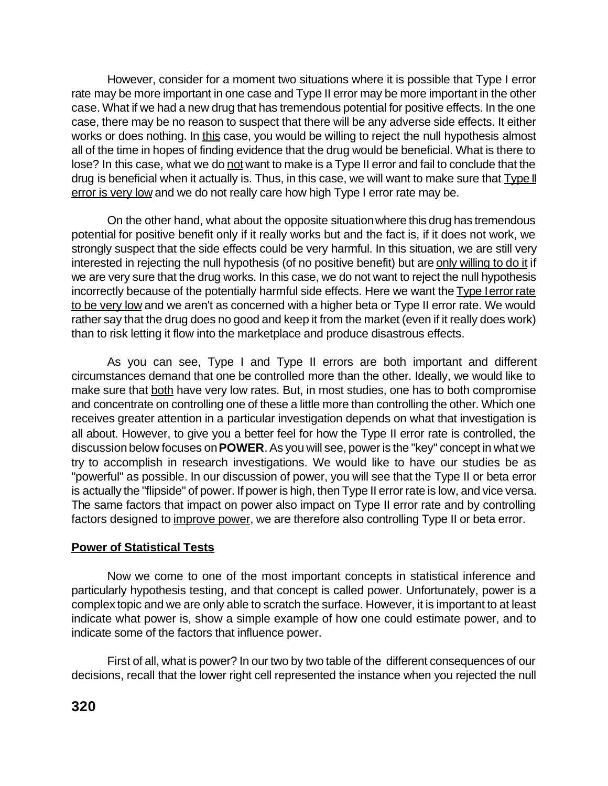However, consider for a moment two situations where it is possible that Type I error rate may be more important in one case and Type II error may be more important in the other case. What if we had a new drug that has tremendous potential for positive effects. In the one case, there may be no reason to suspect that there will be any adverse side effects. It either works or does nothing. In this case, you would be willing to reject the null hypothesis almost all of the time in hopes of finding evidence that the drug would be beneficial. What is there to lose? In this case, what we do not want to make is a Type II error and fail to conclude that the drug is beneficial when it actually is. Thus, in this case, we will want to make sure that Type II error is very low and we do not really care how high Type I error rate may be.

On the other hand, what about the opposite situation where this drug has tremendous potential for positive benefit only if it really works but and the fact is, if it does not work, we strongly suspect that the side effects could be very harmful. In this situation, we are still very interested in rejecting the null hypothesis (of no positive benefit) but are only willing to do it if we are very sure that the drug works. In this case, we do not want to reject the null hypothesis incorrectly because of the potentially harmful side effects. Here we want the Type I error rate to be very low and we aren't as concerned with a higher beta or Type II error rate. We would rather say that the drug does no good and keep it from the market (even if it really does work) than to risk letting it flow into the marketplace and produce disastrous effects.

As you can see, Type I and Type II errors are both important and different circumstances demand that one be controlled more than the other. Ideally, we would like to make sure that both have very low rates. But, in most studies, one has to both compromise and concentrate on controlling one of these a little more than controlling the other. Which one receives greater attention in a particular investigation depends on what that investigation is all about. However, to give you a better feel for how the Type II error rate is controlled, the discussion below focuses on **POWER**. As you will see, power is the "key" concept in what we try to accomplish in research investigations. We would like to have our studies be as "powerful" as possible. In our discussion of power, you will see that the Type II or beta error is actually the "flipside" of power. If power is high, then Type II error rate is low, and vice versa. The same factors that impact on power also impact on Type II error rate and by controlling factors designed to improve power, we are therefore also controlling Type II or beta error.

## **Power of Statistical Tests**

Now we come to one of the most important concepts in statistical inference and particularly hypothesis testing, and that concept is called power. Unfortunately, power is a complex topic and we are only able to scratch the surface. However, it is important to at least indicate what power is, show a simple example of how one could estimate power, and to indicate some of the factors that influence power.

First of all, what is power? In our two by two table of the different consequences of our decisions, recall that the lower right cell represented the instance when you rejected the null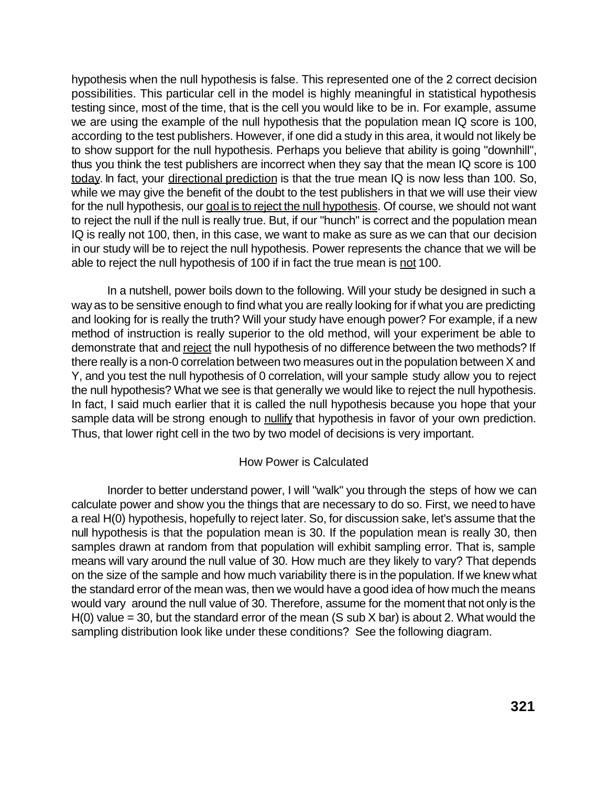hypothesis when the null hypothesis is false. This represented one of the 2 correct decision possibilities. This particular cell in the model is highly meaningful in statistical hypothesis testing since, most of the time, that is the cell you would like to be in. For example, assume we are using the example of the null hypothesis that the population mean IQ score is 100, according to the test publishers. However, if one did a study in this area, it would not likely be to show support for the null hypothesis. Perhaps you believe that ability is going "downhill", thus you think the test publishers are incorrect when they say that the mean IQ score is 100 today. In fact, your directional prediction is that the true mean IQ is now less than 100. So, while we may give the benefit of the doubt to the test publishers in that we will use their view for the null hypothesis, our goal is to reject the null hypothesis. Of course, we should not want to reject the null if the null is really true. But, if our "hunch" is correct and the population mean IQ is really not 100, then, in this case, we want to make as sure as we can that our decision in our study will be to reject the null hypothesis. Power represents the chance that we will be able to reject the null hypothesis of 100 if in fact the true mean is not 100.

In a nutshell, power boils down to the following. Will your study be designed in such a way as to be sensitive enough to find what you are really looking for if what you are predicting and looking for is really the truth? Will your study have enough power? For example, if a new method of instruction is really superior to the old method, will your experiment be able to demonstrate that and reject the null hypothesis of no difference between the two methods? If there really is a non-0 correlation between two measures out in the population between X and Y, and you test the null hypothesis of 0 correlation, will your sample study allow you to reject the null hypothesis? What we see is that generally we would like to reject the null hypothesis. In fact, I said much earlier that it is called the null hypothesis because you hope that your sample data will be strong enough to nullify that hypothesis in favor of your own prediction. Thus, that lower right cell in the two by two model of decisions is very important.

## How Power is Calculated

Inorder to better understand power, I will "walk" you through the steps of how we can calculate power and show you the things that are necessary to do so. First, we need to have a real H(0) hypothesis, hopefully to reject later. So, for discussion sake, let's assume that the null hypothesis is that the population mean is 30. If the population mean is really 30, then samples drawn at random from that population will exhibit sampling error. That is, sample means will vary around the null value of 30. How much are they likely to vary? That depends on the size of the sample and how much variability there is in the population. If we knew what the standard error of the mean was, then we would have a good idea of how much the means would vary around the null value of 30. Therefore, assume for the moment that not only is the  $H(0)$  value = 30, but the standard error of the mean (S sub X bar) is about 2. What would the sampling distribution look like under these conditions? See the following diagram.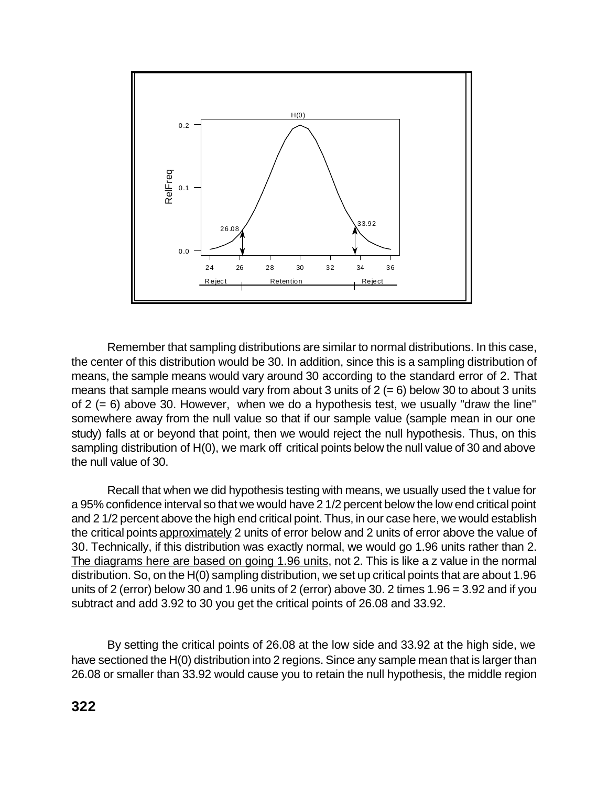

Remember that sampling distributions are similar to normal distributions. In this case, the center of this distribution would be 30. In addition, since this is a sampling distribution of means, the sample means would vary around 30 according to the standard error of 2. That means that sample means would vary from about 3 units of  $2 (= 6)$  below 30 to about 3 units of  $2 (= 6)$  above 30. However, when we do a hypothesis test, we usually "draw the line" somewhere away from the null value so that if our sample value (sample mean in our one study) falls at or beyond that point, then we would reject the null hypothesis. Thus, on this sampling distribution of H(0), we mark off critical points below the null value of 30 and above the null value of 30.

Recall that when we did hypothesis testing with means, we usually used the t value for a 95% confidence interval so that we would have 2 1/2 percent below the low end critical point and 2 1/2 percent above the high end critical point. Thus, in our case here, we would establish the critical points approximately 2 units of error below and 2 units of error above the value of 30. Technically, if this distribution was exactly normal, we would go 1.96 units rather than 2. The diagrams here are based on going 1.96 units, not 2. This is like a z value in the normal distribution. So, on the H(0) sampling distribution, we set up critical points that are about 1.96 units of 2 (error) below 30 and 1.96 units of 2 (error) above 30. 2 times 1.96 = 3.92 and if you subtract and add 3.92 to 30 you get the critical points of 26.08 and 33.92.

By setting the critical points of 26.08 at the low side and 33.92 at the high side, we have sectioned the H(0) distribution into 2 regions. Since any sample mean that is larger than 26.08 or smaller than 33.92 would cause you to retain the null hypothesis, the middle region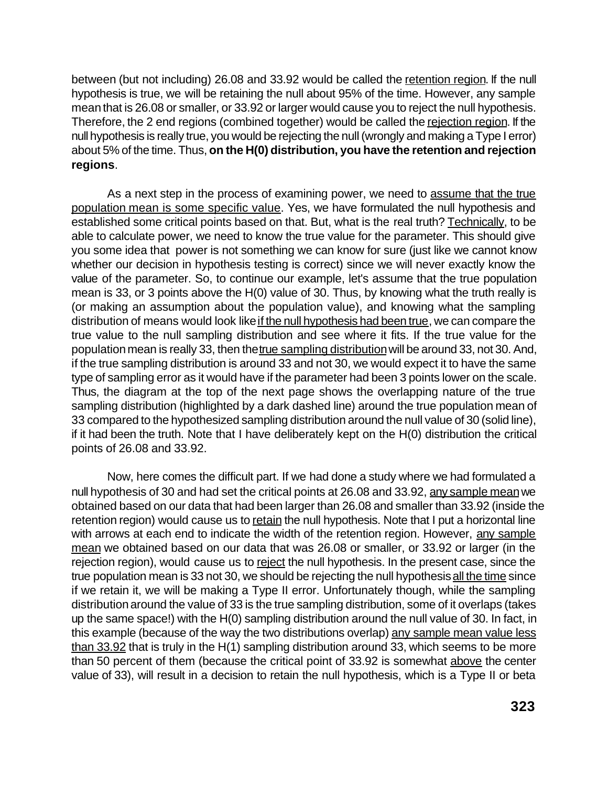between (but not including) 26.08 and 33.92 would be called the retention region. If the null hypothesis is true, we will be retaining the null about 95% of the time. However, any sample mean that is 26.08 or smaller, or 33.92 or larger would cause you to reject the null hypothesis. Therefore, the 2 end regions (combined together) would be called the rejection region. If the null hypothesis is really true, you would be rejecting the null (wrongly and making a Type I error) about 5% of the time. Thus, **on the H(0) distribution, you have the retention and rejection regions**.

As a next step in the process of examining power, we need to assume that the true population mean is some specific value. Yes, we have formulated the null hypothesis and established some critical points based on that. But, what is the real truth? Technically, to be able to calculate power, we need to know the true value for the parameter. This should give you some idea that power is not something we can know for sure (just like we cannot know whether our decision in hypothesis testing is correct) since we will never exactly know the value of the parameter. So, to continue our example, let's assume that the true population mean is 33, or 3 points above the H(0) value of 30. Thus, by knowing what the truth really is (or making an assumption about the population value), and knowing what the sampling distribution of means would look like if the null hypothesis had been true, we can compare the true value to the null sampling distribution and see where it fits. If the true value for the population mean is really 33, then the true sampling distribution will be around 33, not 30. And, if the true sampling distribution is around 33 and not 30, we would expect it to have the same type of sampling error as it would have if the parameter had been 3 points lower on the scale. Thus, the diagram at the top of the next page shows the overlapping nature of the true sampling distribution (highlighted by a dark dashed line) around the true population mean of 33 compared to the hypothesized sampling distribution around the null value of 30 (solid line), if it had been the truth. Note that I have deliberately kept on the H(0) distribution the critical points of 26.08 and 33.92.

Now, here comes the difficult part. If we had done a study where we had formulated a null hypothesis of 30 and had set the critical points at 26.08 and 33.92, any sample mean we obtained based on our data that had been larger than 26.08 and smaller than 33.92 (inside the retention region) would cause us to retain the null hypothesis. Note that I put a horizontal line with arrows at each end to indicate the width of the retention region. However, any sample mean we obtained based on our data that was 26.08 or smaller, or 33.92 or larger (in the rejection region), would cause us to reject the null hypothesis. In the present case, since the true population mean is 33 not 30, we should be rejecting the null hypothesis all the time since if we retain it, we will be making a Type II error. Unfortunately though, while the sampling distribution around the value of 33 is the true sampling distribution, some of it overlaps (takes up the same space!) with the H(0) sampling distribution around the null value of 30. In fact, in this example (because of the way the two distributions overlap) any sample mean value less than 33.92 that is truly in the H(1) sampling distribution around 33, which seems to be more than 50 percent of them (because the critical point of 33.92 is somewhat above the center value of 33), will result in a decision to retain the null hypothesis, which is a Type II or beta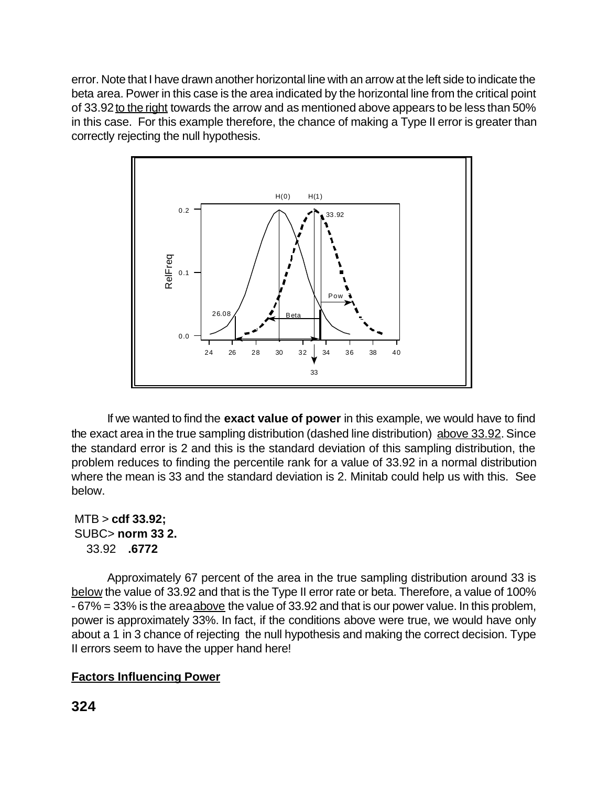error. Note that I have drawn another horizontal line with an arrow at the left side to indicate the beta area. Power in this case is the area indicated by the horizontal line from the critical point of 33.92 to the right towards the arrow and as mentioned above appears to be less than 50% in this case. For this example therefore, the chance of making a Type II error is greater than correctly rejecting the null hypothesis.



If we wanted to find the **exact value of power** in this example, we would have to find the exact area in the true sampling distribution (dashed line distribution) above 33.92. Since the standard error is 2 and this is the standard deviation of this sampling distribution, the problem reduces to finding the percentile rank for a value of 33.92 in a normal distribution where the mean is 33 and the standard deviation is 2. Minitab could help us with this. See below.

 MTB > **cdf 33.92;** SUBC> **norm 33 2.** 33.92 **.6772**

Approximately 67 percent of the area in the true sampling distribution around 33 is below the value of 33.92 and that is the Type II error rate or beta. Therefore, a value of 100% - 67% = 33% is the area above the value of 33.92 and that is our power value. In this problem, power is approximately 33%. In fact, if the conditions above were true, we would have only about a 1 in 3 chance of rejecting the null hypothesis and making the correct decision. Type II errors seem to have the upper hand here!

## **Factors Influencing Power**

**324**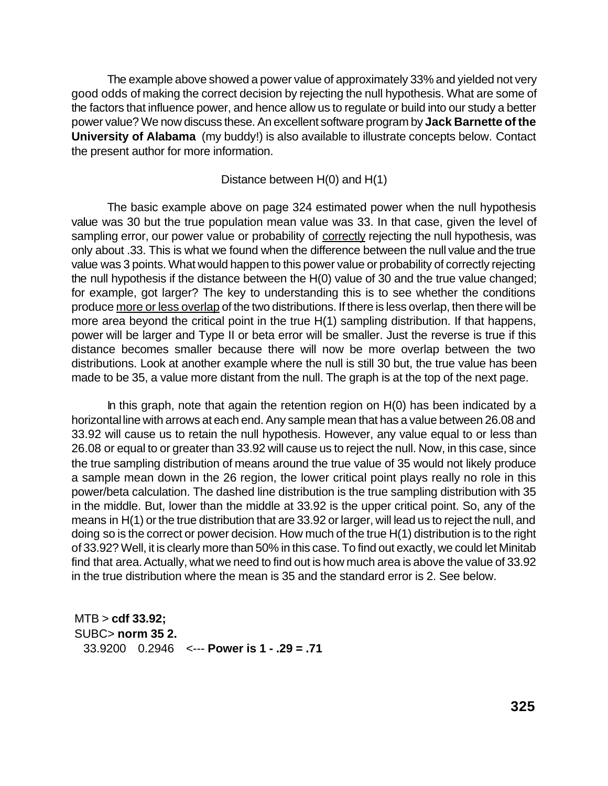The example above showed a power value of approximately 33% and yielded not very good odds of making the correct decision by rejecting the null hypothesis. What are some of the factors that influence power, and hence allow us to regulate or build into our study a better power value? We now discuss these. An excellent software program by **Jack Barnette of the University of Alabama** (my buddy!) is also available to illustrate concepts below. Contact the present author for more information.

#### Distance between H(0) and H(1)

The basic example above on page 324 estimated power when the null hypothesis value was 30 but the true population mean value was 33. In that case, given the level of sampling error, our power value or probability of correctly rejecting the null hypothesis, was only about .33. This is what we found when the difference between the null value and the true value was 3 points. What would happen to this power value or probability of correctly rejecting the null hypothesis if the distance between the H(0) value of 30 and the true value changed; for example, got larger? The key to understanding this is to see whether the conditions produce more or less overlap of the two distributions. If there is less overlap, then there will be more area beyond the critical point in the true H(1) sampling distribution. If that happens, power will be larger and Type II or beta error will be smaller. Just the reverse is true if this distance becomes smaller because there will now be more overlap between the two distributions. Look at another example where the null is still 30 but, the true value has been made to be 35, a value more distant from the null. The graph is at the top of the next page.

In this graph, note that again the retention region on  $H(0)$  has been indicated by a horizontal line with arrows at each end. Any sample mean that has a value between 26.08 and 33.92 will cause us to retain the null hypothesis. However, any value equal to or less than 26.08 or equal to or greater than 33.92 will cause us to reject the null. Now, in this case, since the true sampling distribution of means around the true value of 35 would not likely produce a sample mean down in the 26 region, the lower critical point plays really no role in this power/beta calculation. The dashed line distribution is the true sampling distribution with 35 in the middle. But, lower than the middle at 33.92 is the upper critical point. So, any of the means in H(1) or the true distribution that are 33.92 or larger, will lead us to reject the null, and doing so is the correct or power decision. How much of the true H(1) distribution is to the right of 33.92? Well, it is clearly more than 50% in this case. To find out exactly, we could let Minitab find that area. Actually, what we need to find out is how much area is above the value of 33.92 in the true distribution where the mean is 35 and the standard error is 2. See below.

 MTB > **cdf 33.92;** SUBC> **norm 35 2.** 33.9200 0.2946 <--- **Power is 1 - .29 = .71**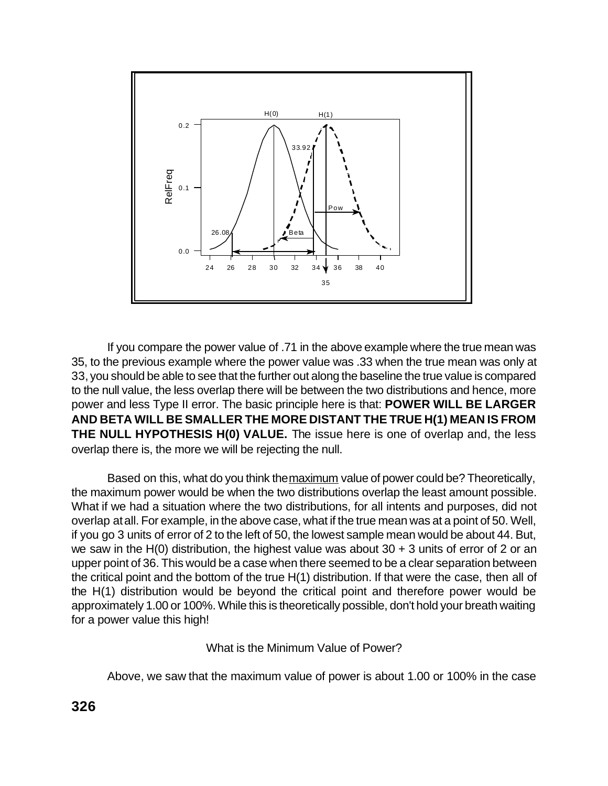

If you compare the power value of .71 in the above example where the true mean was 35, to the previous example where the power value was .33 when the true mean was only at 33, you should be able to see that the further out along the baseline the true value is compared to the null value, the less overlap there will be between the two distributions and hence, more power and less Type II error. The basic principle here is that: **POWER WILL BE LARGER AND BETA WILL BE SMALLER THE MORE DISTANT THE TRUE H(1) MEAN IS FROM THE NULL HYPOTHESIS H(0) VALUE.** The issue here is one of overlap and, the less overlap there is, the more we will be rejecting the null.

Based on this, what do you think the maximum value of power could be? Theoretically, the maximum power would be when the two distributions overlap the least amount possible. What if we had a situation where the two distributions, for all intents and purposes, did not overlap at all. For example, in the above case, what if the true mean was at a point of 50. Well, if you go 3 units of error of 2 to the left of 50, the lowest sample mean would be about 44. But, we saw in the H(0) distribution, the highest value was about  $30 + 3$  units of error of 2 or an upper point of 36. This would be a case when there seemed to be a clear separation between the critical point and the bottom of the true H(1) distribution. If that were the case, then all of the H(1) distribution would be beyond the critical point and therefore power would be approximately 1.00 or 100%. While this is theoretically possible, don't hold your breath waiting for a power value this high!

What is the Minimum Value of Power?

Above, we saw that the maximum value of power is about 1.00 or 100% in the case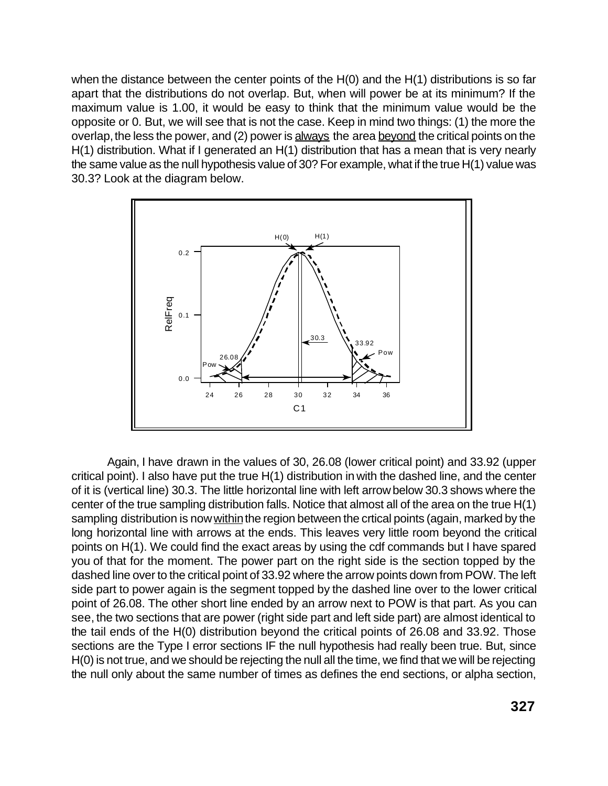when the distance between the center points of the H(0) and the H(1) distributions is so far apart that the distributions do not overlap. But, when will power be at its minimum? If the maximum value is 1.00, it would be easy to think that the minimum value would be the opposite or 0. But, we will see that is not the case. Keep in mind two things: (1) the more the overlap, the less the power, and (2) power is always the area beyond the critical points on the H(1) distribution. What if I generated an H(1) distribution that has a mean that is very nearly the same value as the null hypothesis value of 30? For example, what if the true H(1) value was 30.3? Look at the diagram below.



Again, I have drawn in the values of 30, 26.08 (lower critical point) and 33.92 (upper critical point). I also have put the true H(1) distribution in with the dashed line, and the center of it is (vertical line) 30.3. The little horizontal line with left arrow below 30.3 shows where the center of the true sampling distribution falls. Notice that almost all of the area on the true H(1) sampling distribution is now within the region between the crtical points (again, marked by the long horizontal line with arrows at the ends. This leaves very little room beyond the critical points on H(1). We could find the exact areas by using the cdf commands but I have spared you of that for the moment. The power part on the right side is the section topped by the dashed line over to the critical point of 33.92 where the arrow points down from POW. The left side part to power again is the segment topped by the dashed line over to the lower critical point of 26.08. The other short line ended by an arrow next to POW is that part. As you can see, the two sections that are power (right side part and left side part) are almost identical to the tail ends of the H(0) distribution beyond the critical points of 26.08 and 33.92. Those sections are the Type I error sections IF the null hypothesis had really been true. But, since H(0) is not true, and we should be rejecting the null all the time, we find that we will be rejecting the null only about the same number of times as defines the end sections, or alpha section,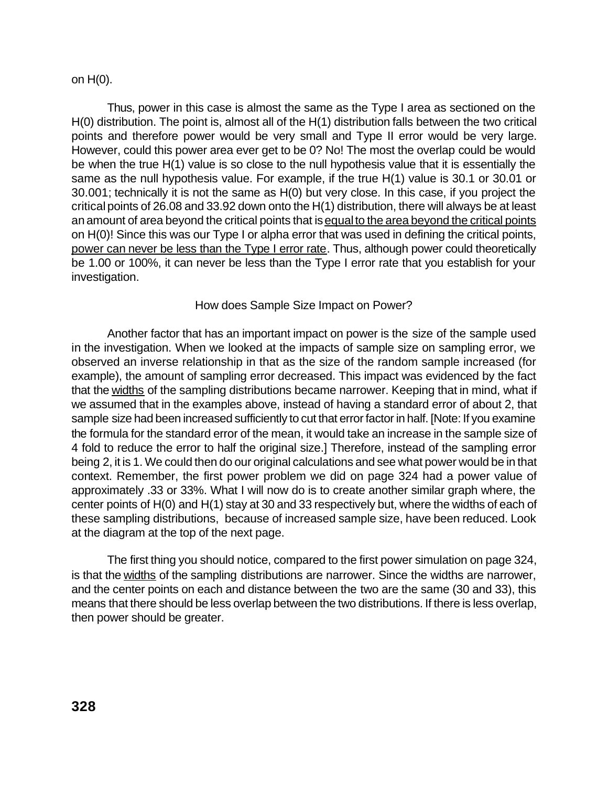#### on H(0).

Thus, power in this case is almost the same as the Type I area as sectioned on the H(0) distribution. The point is, almost all of the H(1) distribution falls between the two critical points and therefore power would be very small and Type II error would be very large. However, could this power area ever get to be 0? No! The most the overlap could be would be when the true H(1) value is so close to the null hypothesis value that it is essentially the same as the null hypothesis value. For example, if the true H(1) value is 30.1 or 30.01 or 30.001; technically it is not the same as H(0) but very close. In this case, if you project the critical points of 26.08 and 33.92 down onto the H(1) distribution, there will always be at least an amount of area beyond the critical points that is equal to the area beyond the critical points on H(0)! Since this was our Type I or alpha error that was used in defining the critical points, power can never be less than the Type I error rate. Thus, although power could theoretically be 1.00 or 100%, it can never be less than the Type I error rate that you establish for your investigation.

## How does Sample Size Impact on Power?

Another factor that has an important impact on power is the size of the sample used in the investigation. When we looked at the impacts of sample size on sampling error, we observed an inverse relationship in that as the size of the random sample increased (for example), the amount of sampling error decreased. This impact was evidenced by the fact that the widths of the sampling distributions became narrower. Keeping that in mind, what if we assumed that in the examples above, instead of having a standard error of about 2, that sample size had been increased sufficiently to cut that error factor in half. [Note: If you examine the formula for the standard error of the mean, it would take an increase in the sample size of 4 fold to reduce the error to half the original size.] Therefore, instead of the sampling error being 2, it is 1. We could then do our original calculations and see what power would be in that context. Remember, the first power problem we did on page 324 had a power value of approximately .33 or 33%. What I will now do is to create another similar graph where, the center points of H(0) and H(1) stay at 30 and 33 respectively but, where the widths of each of these sampling distributions, because of increased sample size, have been reduced. Look at the diagram at the top of the next page.

The first thing you should notice, compared to the first power simulation on page 324, is that the widths of the sampling distributions are narrower. Since the widths are narrower, and the center points on each and distance between the two are the same (30 and 33), this means that there should be less overlap between the two distributions. If there is less overlap, then power should be greater.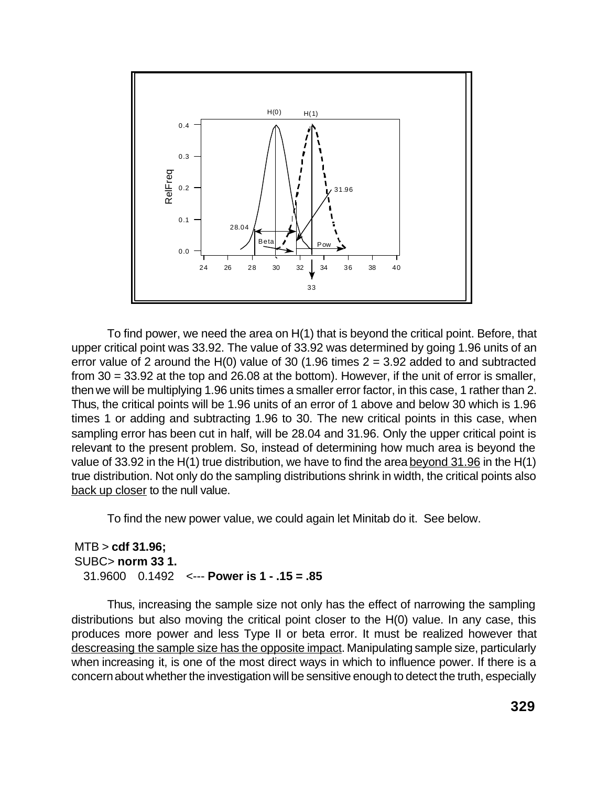

 To find power, we need the area on H(1) that is beyond the critical point. Before, that upper critical point was 33.92. The value of 33.92 was determined by going 1.96 units of an error value of 2 around the H(0) value of 30 (1.96 times  $2 = 3.92$  added to and subtracted from 30 = 33.92 at the top and 26.08 at the bottom). However, if the unit of error is smaller, then we will be multiplying 1.96 units times a smaller error factor, in this case, 1 rather than 2. Thus, the critical points will be 1.96 units of an error of 1 above and below 30 which is 1.96 times 1 or adding and subtracting 1.96 to 30. The new critical points in this case, when sampling error has been cut in half, will be 28.04 and 31.96. Only the upper critical point is relevant to the present problem. So, instead of determining how much area is beyond the value of 33.92 in the H(1) true distribution, we have to find the area beyond 31.96 in the H(1) true distribution. Not only do the sampling distributions shrink in width, the critical points also back up closer to the null value.

To find the new power value, we could again let Minitab do it. See below.

## MTB > **cdf 31.96;** SUBC> **norm 33 1.** 31.9600 0.1492 <--- **Power is 1 - .15 = .85**

Thus, increasing the sample size not only has the effect of narrowing the sampling distributions but also moving the critical point closer to the H(0) value. In any case, this produces more power and less Type II or beta error. It must be realized however that descreasing the sample size has the opposite impact. Manipulating sample size, particularly when increasing it, is one of the most direct ways in which to influence power. If there is a concern about whether the investigation will be sensitive enough to detect the truth, especially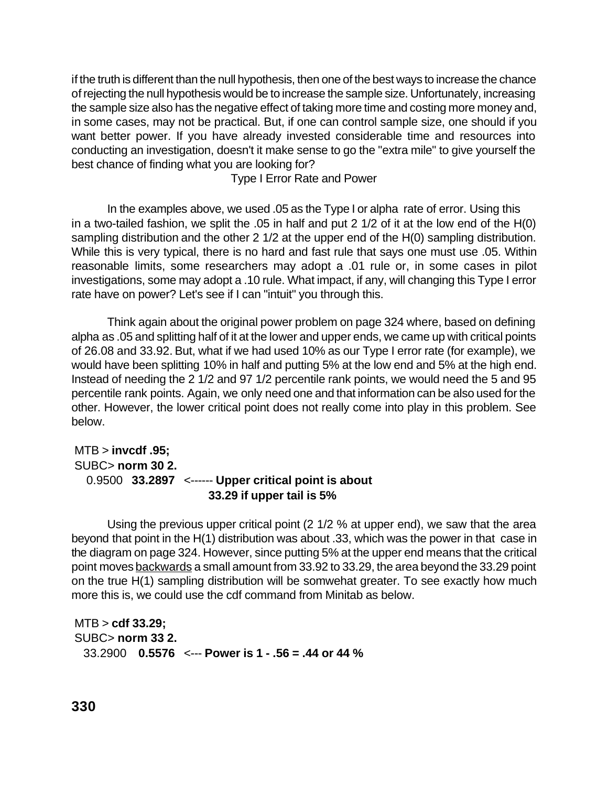if the truth is different than the null hypothesis, then one of the best ways to increase the chance of rejecting the null hypothesis would be to increase the sample size. Unfortunately, increasing the sample size also has the negative effect of taking more time and costing more money and, in some cases, may not be practical. But, if one can control sample size, one should if you want better power. If you have already invested considerable time and resources into conducting an investigation, doesn't it make sense to go the "extra mile" to give yourself the best chance of finding what you are looking for?

Type I Error Rate and Power

In the examples above, we used .05 as the Type I or alpha rate of error. Using this in a two-tailed fashion, we split the .05 in half and put 2 1/2 of it at the low end of the H(0) sampling distribution and the other 2 1/2 at the upper end of the H(0) sampling distribution. While this is very typical, there is no hard and fast rule that says one must use .05. Within reasonable limits, some researchers may adopt a .01 rule or, in some cases in pilot investigations, some may adopt a .10 rule. What impact, if any, will changing this Type I error rate have on power? Let's see if I can "intuit" you through this.

Think again about the original power problem on page 324 where, based on defining alpha as .05 and splitting half of it at the lower and upper ends, we came up with critical points of 26.08 and 33.92. But, what if we had used 10% as our Type I error rate (for example), we would have been splitting 10% in half and putting 5% at the low end and 5% at the high end. Instead of needing the 2 1/2 and 97 1/2 percentile rank points, we would need the 5 and 95 percentile rank points. Again, we only need one and that information can be also used for the other. However, the lower critical point does not really come into play in this problem. See below.

## MTB > **invcdf .95;** SUBC> **norm 30 2.** 0.9500 **33.2897** <------ **Upper critical point is about 33.29 if upper tail is 5%**

Using the previous upper critical point (2 1/2 % at upper end), we saw that the area beyond that point in the H(1) distribution was about .33, which was the power in that case in the diagram on page 324. However, since putting 5% at the upper end means that the critical point moves backwards a small amount from 33.92 to 33.29, the area beyond the 33.29 point on the true H(1) sampling distribution will be somwehat greater. To see exactly how much more this is, we could use the cdf command from Minitab as below.

```
 MTB > cdf 33.29;
SUBC> norm 33 2.
 33.2900 0.5576 <--- Power is 1 - .56 = .44 or 44 %
```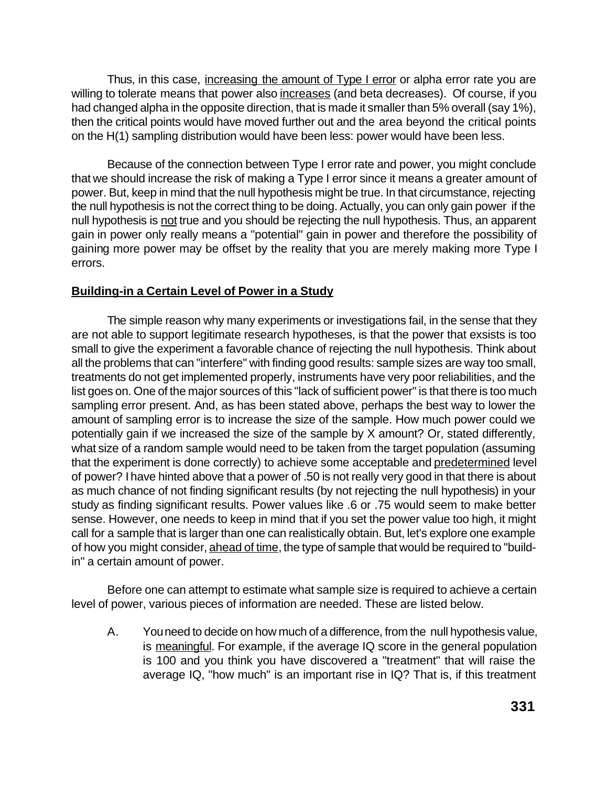Thus, in this case, increasing the amount of Type I error or alpha error rate you are willing to tolerate means that power also increases (and beta decreases). Of course, if you had changed alpha in the opposite direction, that is made it smaller than 5% overall (say 1%), then the critical points would have moved further out and the area beyond the critical points on the H(1) sampling distribution would have been less: power would have been less.

Because of the connection between Type I error rate and power, you might conclude that we should increase the risk of making a Type I error since it means a greater amount of power. But, keep in mind that the null hypothesis might be true. In that circumstance, rejecting the null hypothesis is not the correct thing to be doing. Actually, you can only gain power if the null hypothesis is not true and you should be rejecting the null hypothesis. Thus, an apparent gain in power only really means a "potential" gain in power and therefore the possibility of gaining more power may be offset by the reality that you are merely making more Type I errors.

## **Building-in a Certain Level of Power in a Study**

The simple reason why many experiments or investigations fail, in the sense that they are not able to support legitimate research hypotheses, is that the power that exsists is too small to give the experiment a favorable chance of rejecting the null hypothesis. Think about all the problems that can "interfere" with finding good results: sample sizes are way too small, treatments do not get implemented properly, instruments have very poor reliabilities, and the list goes on. One of the major sources of this "lack of sufficient power" is that there is too much sampling error present. And, as has been stated above, perhaps the best way to lower the amount of sampling error is to increase the size of the sample. How much power could we potentially gain if we increased the size of the sample by X amount? Or, stated differently, what size of a random sample would need to be taken from the target population (assuming that the experiment is done correctly) to achieve some acceptable and predetermined level of power? I have hinted above that a power of .50 is not really very good in that there is about as much chance of not finding significant results (by not rejecting the null hypothesis) in your study as finding significant results. Power values like .6 or .75 would seem to make better sense. However, one needs to keep in mind that if you set the power value too high, it might call for a sample that is larger than one can realistically obtain. But, let's explore one example of how you might consider, ahead of time, the type of sample that would be required to "buildin" a certain amount of power.

Before one can attempt to estimate what sample size is required to achieve a certain level of power, various pieces of information are needed. These are listed below.

A. You need to decide on how much of a difference, from the null hypothesis value, is meaningful. For example, if the average IQ score in the general population is 100 and you think you have discovered a "treatment" that will raise the average IQ, "how much" is an important rise in IQ? That is, if this treatment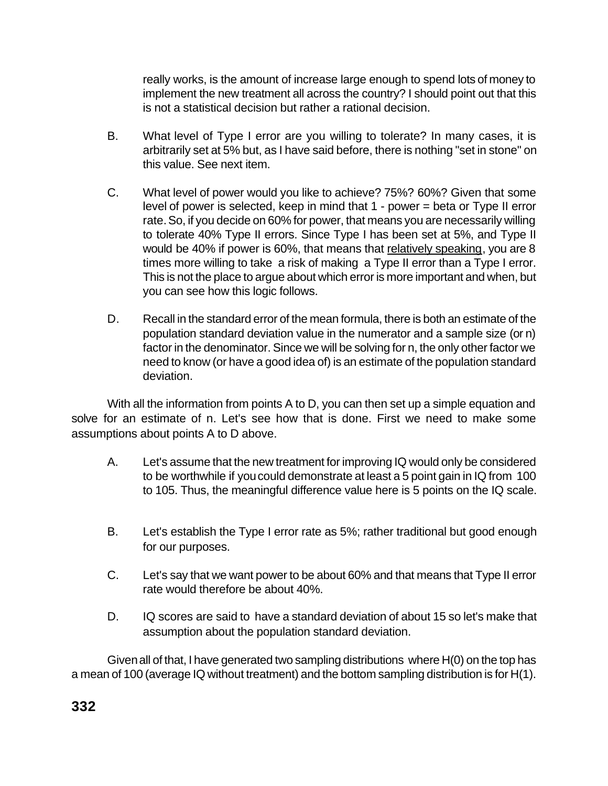really works, is the amount of increase large enough to spend lots of money to implement the new treatment all across the country? I should point out that this is not a statistical decision but rather a rational decision.

- B. What level of Type I error are you willing to tolerate? In many cases, it is arbitrarily set at 5% but, as I have said before, there is nothing "set in stone" on this value. See next item.
- C. What level of power would you like to achieve? 75%? 60%? Given that some level of power is selected, keep in mind that 1 - power = beta or Type II error rate. So, if you decide on 60% for power, that means you are necessarily willing to tolerate 40% Type II errors. Since Type I has been set at 5%, and Type II would be 40% if power is 60%, that means that relatively speaking, you are 8 times more willing to take a risk of making a Type II error than a Type I error. This is not the place to argue about which error is more important and when, but you can see how this logic follows.
- D. Recall in the standard error of the mean formula, there is both an estimate of the population standard deviation value in the numerator and a sample size (or n) factor in the denominator. Since we will be solving for n, the only other factor we need to know (or have a good idea of) is an estimate of the population standard deviation.

With all the information from points A to D, you can then set up a simple equation and solve for an estimate of n. Let's see how that is done. First we need to make some assumptions about points A to D above.

- A. Let's assume that the new treatment for improving IQ would only be considered to be worthwhile if you could demonstrate at least a 5 point gain in IQ from 100 to 105. Thus, the meaningful difference value here is 5 points on the IQ scale.
- B. Let's establish the Type I error rate as 5%; rather traditional but good enough for our purposes.
- C. Let's say that we want power to be about 60% and that means that Type II error rate would therefore be about 40%.
- D. IQ scores are said to have a standard deviation of about 15 so let's make that assumption about the population standard deviation.

Given all of that, I have generated two sampling distributions where H(0) on the top has a mean of 100 (average IQ without treatment) and the bottom sampling distribution is for H(1).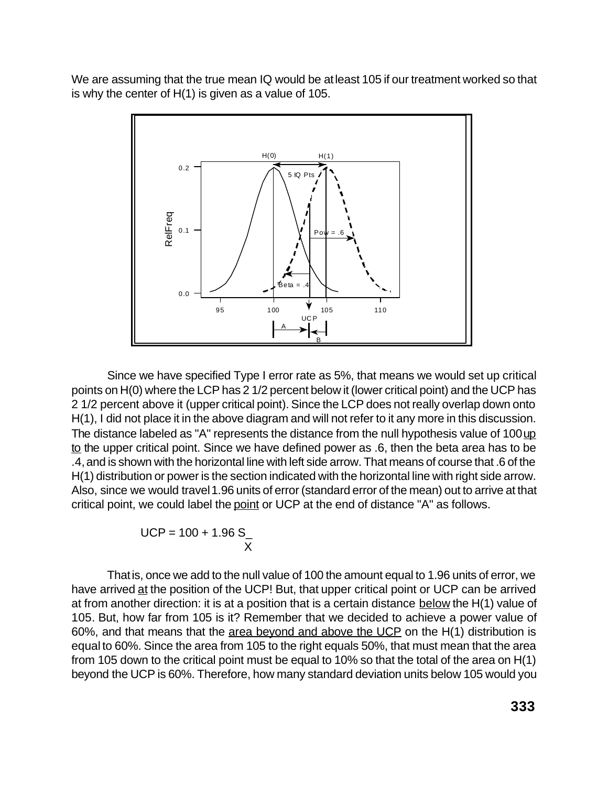We are assuming that the true mean IQ would be at least 105 if our treatment worked so that is why the center of H(1) is given as a value of 105.



Since we have specified Type I error rate as 5%, that means we would set up critical points on H(0) where the LCP has 2 1/2 percent below it (lower critical point) and the UCP has 2 1/2 percent above it (upper critical point). Since the LCP does not really overlap down onto H(1), I did not place it in the above diagram and will not refer to it any more in this discussion. The distance labeled as "A" represents the distance from the null hypothesis value of 100 up to the upper critical point. Since we have defined power as .6, then the beta area has to be .4, and is shown with the horizontal line with left side arrow. That means of course that .6 of the H(1) distribution or power is the section indicated with the horizontal line with right side arrow. Also, since we would travel 1.96 units of error (standard error of the mean) out to arrive at that critical point, we could label the point or UCP at the end of distance "A" as follows.

$$
UCP = 100 + 1.96 S_{\perp}
$$

That is, once we add to the null value of 100 the amount equal to 1.96 units of error, we have arrived at the position of the UCP! But, that upper critical point or UCP can be arrived at from another direction: it is at a position that is a certain distance below the H(1) value of 105. But, how far from 105 is it? Remember that we decided to achieve a power value of 60%, and that means that the  $\frac{area\ beyond\ and\ above\ the\ UCP}$  on the H(1) distribution is equal to 60%. Since the area from 105 to the right equals 50%, that must mean that the area from 105 down to the critical point must be equal to 10% so that the total of the area on H(1) beyond the UCP is 60%. Therefore, how many standard deviation units below 105 would you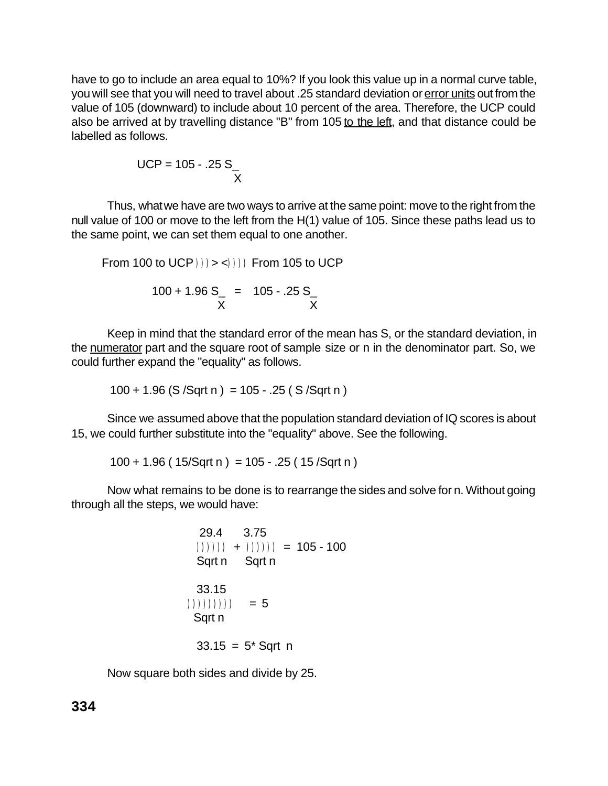have to go to include an area equal to 10%? If you look this value up in a normal curve table, you will see that you will need to travel about .25 standard deviation or error units out from the value of 105 (downward) to include about 10 percent of the area. Therefore, the UCP could also be arrived at by travelling distance "B" from 105 to the left, and that distance could be labelled as follows.

 UCP = 105 - .25 S\_ X

Thus, what we have are two ways to arrive at the same point: move to the right from the null value of 100 or move to the left from the H(1) value of 105. Since these paths lead us to the same point, we can set them equal to one another.

From 100 to UCP 
$$
))))
$$
 From 105 to UCP

$$
100 + 1.96 S_{-} = 105 - .25 S_{-}
$$
  
X

Keep in mind that the standard error of the mean has S, or the standard deviation, in the numerator part and the square root of sample size or n in the denominator part. So, we could further expand the "equality" as follows.

$$
100 + 1.96
$$
 (S /Sqrt n) = 105 - .25 (S /Sqrt n)

Since we assumed above that the population standard deviation of IQ scores is about 15, we could further substitute into the "equality" above. See the following.

 $100 + 1.96$  (  $15/\sqrt{\text{Sqrt n}} = 105 - .25$  (  $15/\sqrt{\text{Sqrt n}}$ )

Now what remains to be done is to rearrange the sides and solve for n. Without going through all the steps, we would have:

\n
$$
\begin{aligned}\n 29.4 & 3.75 \\
3.75 & (1) \\
4.1 & (1) \\
5.4 & (1) \\
5.4 & (1) \\
6.4 & (1) \\
7.4 & (1) \\
8.4 & (1) \\
33.15 & (1) \\
11.1 & (1) \\
12.1 & (1) \\
13.15 & (1) \\
14.1 & (1) \\
15.1 & (1) \\
16.1 & (1) \\
17.1 & (1) \\
18.1 & (1) \\
19.1 & (1) \\
10.1 & (1) \\
11.1 & (1) \\
12.1 & (1) \\
13.15 & (1) \\
14.1 & (1) \\
15.1 & (1) \\
16.1 & (1) \\
17.1 & (1) \\
18.1 & (1) \\
19.1 & (1) \\
10.1 & (1) \\
11.1 & (1) \\
12.1 & (1) \\
13.15 & (1) \\
14.1 & (1) \\
15.1 & (1) \\
16.1 & (1) \\
17.1 & (1) \\
18.1 & (1) \\
19.1 & (1) \\
11.1 & (1) \\
12.1 & (1) \\
13.15 & (1) \\
14.1 & (1) \\
15.1 & (1) \\
16.1 & (1) \\
17.1 & (1) \\
18.1 & (1) \\
19.1 & (1) \\
10.1 & (1) \\
11.1 & (1) \\
12.1 & (1) \\
13.15 & (1) \\
14.1 & (1) \\
15.1 & (1) \\
16.1 & (1) \\
17.1 & (1) \\
18.1 & (1) \\
19.1 & (1) \\
19.1 & (1) \\
11.1 & (1) \\
12.1 & (1) \\
13.15 & (1) \\
14.1 & (1) \\
15.1 &
$$

Now square both sides and divide by 25.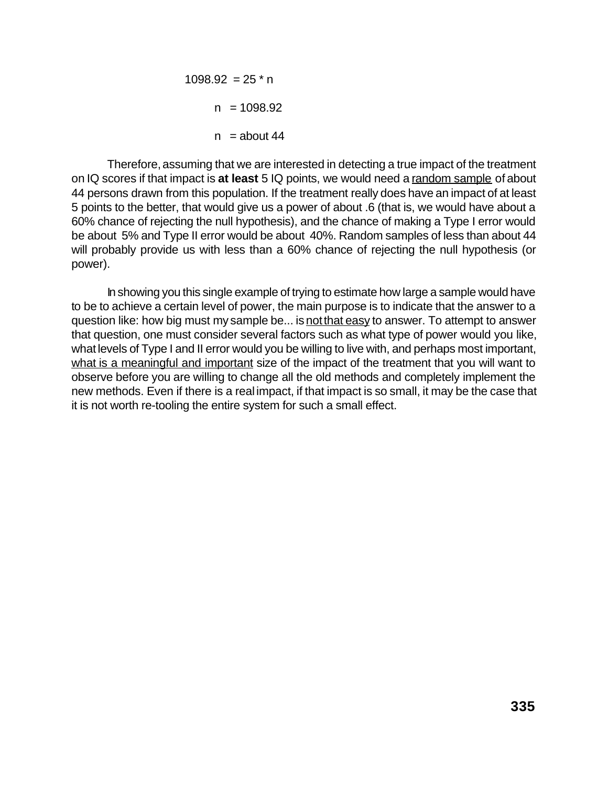$1098.92 = 25$  \* n  $n = 1098.92$  $n =$ about 44

Therefore, assuming that we are interested in detecting a true impact of the treatment on IQ scores if that impact is **at least** 5 IQ points, we would need a random sample of about 44 persons drawn from this population. If the treatment really does have an impact of at least 5 points to the better, that would give us a power of about .6 (that is, we would have about a 60% chance of rejecting the null hypothesis), and the chance of making a Type I error would be about 5% and Type II error would be about 40%. Random samples of less than about 44 will probably provide us with less than a 60% chance of rejecting the null hypothesis (or power).

In showing you this single example of trying to estimate how large a sample would have to be to achieve a certain level of power, the main purpose is to indicate that the answer to a question like: how big must my sample be... is not that easy to answer. To attempt to answer that question, one must consider several factors such as what type of power would you like, what levels of Type I and II error would you be willing to live with, and perhaps most important, what is a meaningful and important size of the impact of the treatment that you will want to observe before you are willing to change all the old methods and completely implement the new methods. Even if there is a real impact, if that impact is so small, it may be the case that it is not worth re-tooling the entire system for such a small effect.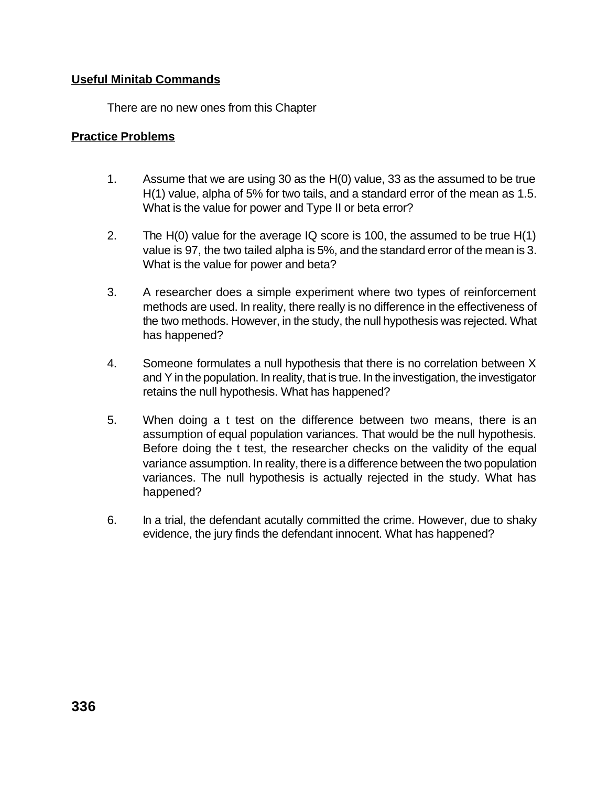## **Useful Minitab Commands**

There are no new ones from this Chapter

### **Practice Problems**

- 1. Assume that we are using 30 as the H(0) value, 33 as the assumed to be true H(1) value, alpha of 5% for two tails, and a standard error of the mean as 1.5. What is the value for power and Type II or beta error?
- 2. The H(0) value for the average IQ score is 100, the assumed to be true H(1) value is 97, the two tailed alpha is 5%, and the standard error of the mean is 3. What is the value for power and beta?
- 3. A researcher does a simple experiment where two types of reinforcement methods are used. In reality, there really is no difference in the effectiveness of the two methods. However, in the study, the null hypothesis was rejected. What has happened?
- 4. Someone formulates a null hypothesis that there is no correlation between X and Y in the population. In reality, that is true. In the investigation, the investigator retains the null hypothesis. What has happened?
- 5. When doing a t test on the difference between two means, there is an assumption of equal population variances. That would be the null hypothesis. Before doing the t test, the researcher checks on the validity of the equal variance assumption. In reality, there is a difference between the two population variances. The null hypothesis is actually rejected in the study. What has happened?
- 6. In a trial, the defendant acutally committed the crime. However, due to shaky evidence, the jury finds the defendant innocent. What has happened?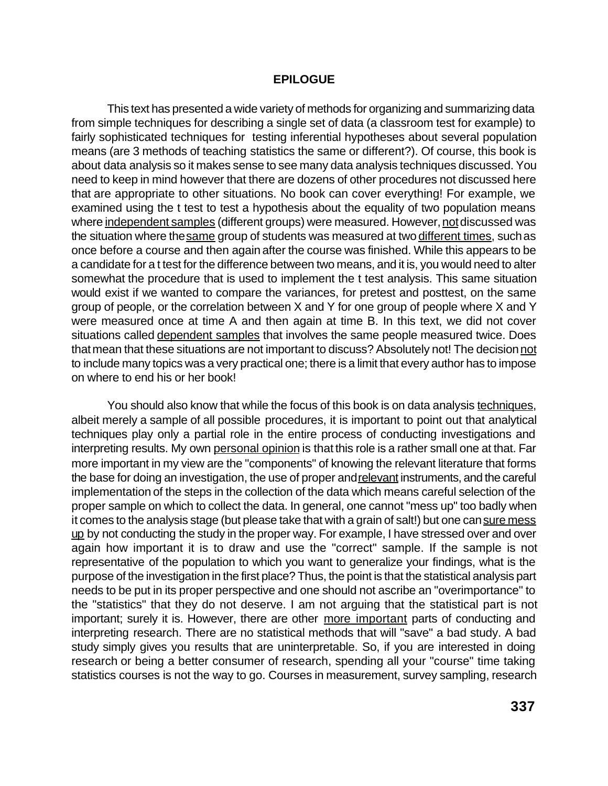#### **EPILOGUE**

This text has presented a wide variety of methods for organizing and summarizing data from simple techniques for describing a single set of data (a classroom test for example) to fairly sophisticated techniques for testing inferential hypotheses about several population means (are 3 methods of teaching statistics the same or different?). Of course, this book is about data analysis so it makes sense to see many data analysis techniques discussed. You need to keep in mind however that there are dozens of other procedures not discussed here that are appropriate to other situations. No book can cover everything! For example, we examined using the t test to test a hypothesis about the equality of two population means where independent samples (different groups) were measured. However, not discussed was the situation where the same group of students was measured at two different times, such as once before a course and then again after the course was finished. While this appears to be a candidate for a t test for the difference between two means, and it is, you would need to alter somewhat the procedure that is used to implement the t test analysis. This same situation would exist if we wanted to compare the variances, for pretest and posttest, on the same group of people, or the correlation between X and Y for one group of people where X and Y were measured once at time A and then again at time B. In this text, we did not cover situations called dependent samples that involves the same people measured twice. Does that mean that these situations are not important to discuss? Absolutely not! The decision not to include many topics was a very practical one; there is a limit that every author has to impose on where to end his or her book!

You should also know that while the focus of this book is on data analysis techniques, albeit merely a sample of all possible procedures, it is important to point out that analytical techniques play only a partial role in the entire process of conducting investigations and interpreting results. My own personal opinion is that this role is a rather small one at that. Far more important in my view are the "components" of knowing the relevant literature that forms the base for doing an investigation, the use of proper and relevant instruments, and the careful implementation of the steps in the collection of the data which means careful selection of the proper sample on which to collect the data. In general, one cannot "mess up" too badly when it comes to the analysis stage (but please take that with a grain of salt!) but one can sure mess up by not conducting the study in the proper way. For example, I have stressed over and over again how important it is to draw and use the "correct" sample. If the sample is not representative of the population to which you want to generalize your findings, what is the purpose of the investigation in the first place? Thus, the point is that the statistical analysis part needs to be put in its proper perspective and one should not ascribe an "overimportance" to the "statistics" that they do not deserve. I am not arguing that the statistical part is not important; surely it is. However, there are other more important parts of conducting and interpreting research. There are no statistical methods that will "save" a bad study. A bad study simply gives you results that are uninterpretable. So, if you are interested in doing research or being a better consumer of research, spending all your "course" time taking statistics courses is not the way to go. Courses in measurement, survey sampling, research